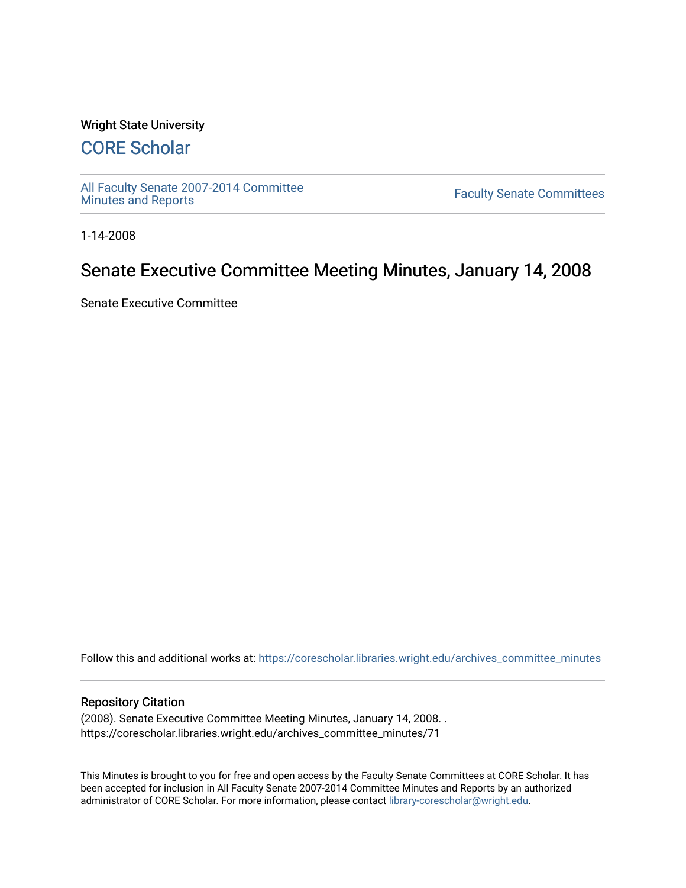#### Wright State University

# [CORE Scholar](https://corescholar.libraries.wright.edu/)

[All Faculty Senate 2007-2014 Committee](https://corescholar.libraries.wright.edu/archives_committee_minutes)

**Faculty Senate Committees** 

1-14-2008

# Senate Executive Committee Meeting Minutes, January 14, 2008

Senate Executive Committee

Follow this and additional works at: [https://corescholar.libraries.wright.edu/archives\\_committee\\_minutes](https://corescholar.libraries.wright.edu/archives_committee_minutes?utm_source=corescholar.libraries.wright.edu%2Farchives_committee_minutes%2F71&utm_medium=PDF&utm_campaign=PDFCoverPages) 

#### Repository Citation

(2008). Senate Executive Committee Meeting Minutes, January 14, 2008. . https://corescholar.libraries.wright.edu/archives\_committee\_minutes/71

This Minutes is brought to you for free and open access by the Faculty Senate Committees at CORE Scholar. It has been accepted for inclusion in All Faculty Senate 2007-2014 Committee Minutes and Reports by an authorized administrator of CORE Scholar. For more information, please contact [library-corescholar@wright.edu.](mailto:library-corescholar@wright.edu)